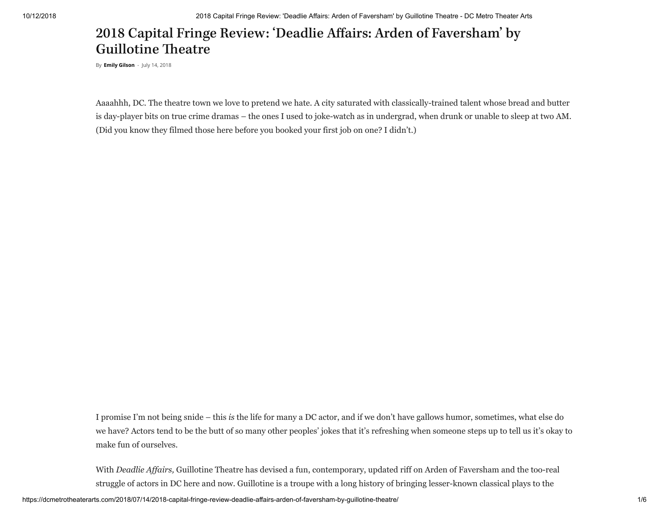## 2018 Capital Fringe Review: 'Deadlie Affairs: Arden of Faversham' by Guillotine Theatre

By **[Emily Gilson](https://dcmetrotheaterarts.com/author/emily-gilson/)** - July 14, 2018

Aaaahhh, DC. The theatre town we love to pretend we hate. A city saturated with classically-trained talent whose bread and butter is day-player bits on true crime dramas – the ones I used to joke-watch as in undergrad, when drunk or unable to sleep at two AM. (Did you know they filmed those here before you booked your first job on one? I didn't.)

I promise I'm not being snide – this *is* the life for many a DC actor, and if we don't have gallows humor, sometimes, what else do we have? Actors tend to be the butt of so many other peoples' jokes that it's refreshing when someone steps up to tell us it's okay to make fun of ourselves.

With *Deadlie Af airs,* Guillotine Theatre has devised a fun, contemporary, updated riff on Arden of Faversham and the too-real struggle of actors in DC here and now. Guillotine is a troupe with a long history of bringing lesser-known classical plays to the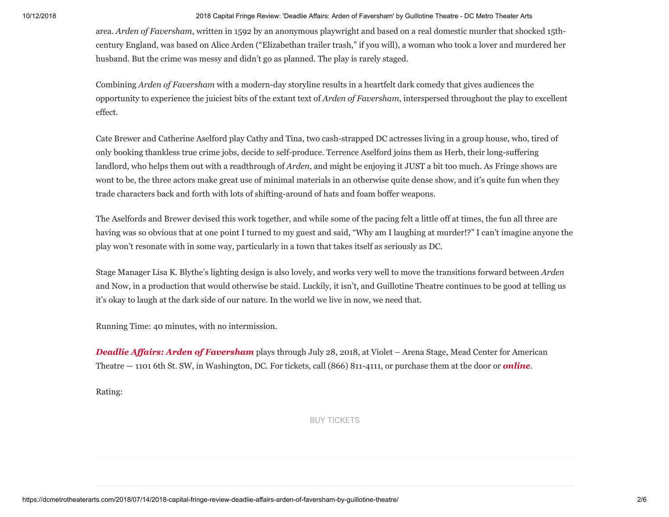## 10/12/2018 2018 Capital Fringe Review: 'Deadlie Affairs: Arden of Faversham' by Guillotine Theatre - DC Metro Theater Arts

area. *Arden of Faversham*, written in 1592 by an anonymous playwright and based on a real domestic murder that shocked 15thcentury England, was based on Alice Arden ("Elizabethan trailer trash," if you will), a woman who took a lover and murdered her husband. But the crime was messy and didn't go as planned. The play is rarely staged.

Combining *Arden of Faversham* with a modern-day storyline results in a heartfelt dark comedy that gives audiences the opportunity to experience the juiciest bits of the extant text of *Arden of Faversham*, interspersed throughout the play to excellent effect.

Cate Brewer and Catherine Aselford play Cathy and Tina, two cash-strapped DC actresses living in a group house, who, tired of only booking thankless true crime jobs, decide to self-produce. Terrence Aselford joins them as Herb, their long-suffering landlord, who helps them out with a readthrough of *Arden*, and might be enjoying it JUST a bit too much. As Fringe shows are wont to be, the three actors make great use of minimal materials in an otherwise quite dense show, and it's quite fun when they trade characters back and forth with lots of shifting-around of hats and foam boffer weapons.

The Aselfords and Brewer devised this work together, and while some of the pacing felt a little off at times, the fun all three are having was so obvious that at one point I turned to my guest and said, "Why am I laughing at murder!?" I can't imagine anyone the play won't resonate with in some way, particularly in a town that takes itself as seriously as DC.

Stage Manager Lisa K. Blythe's lighting design is also lovely, and works very well to move the transitions forward between *Arden* and Now, in a production that would otherwise be staid. Luckily, it isn't, and Guillotine Theatre continues to be good at telling us it's okay to laugh at the dark side of our nature. In the world we live in now, we need that.

Running Time: 40 minutes, with no intermission.

*[Deadlie Affairs: Arden of Faversham](https://www.capitalfringe.org/events/1290-deadlie-affairs-arden-of-faversham)* plays through July 28, 2018, at Violet – Arena Stage, Mead Center for American Theatre — 1101 6th St. SW, in Washington, DC. For tickets, call (866) 811-4111, or purchase them at the door or *[online](https://www.capitalfringe.org/events/1290-deadlie-affairs-arden-of-faversham)*.

Rating:

[BUY TICKETS](https://www.capitalfringe.org/events/1290-deadlie-affairs-arden-of-faversham)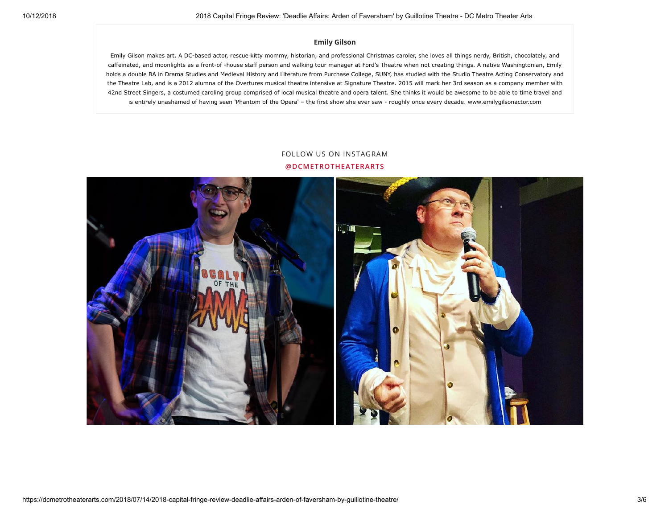## **[Emily Gilson](https://dcmetrotheaterarts.com/author/emily-gilson/)**

Emily Gilson makes art. A DC-based actor, rescue kitty mommy, historian, and professional Christmas caroler, she loves all things nerdy, British, chocolately, and caffeinated, and moonlights as a front-of -house staff person and walking tour manager at Ford's Theatre when not creating things. A native Washingtonian, Emily holds a double BA in Drama Studies and Medieval History and Literature from Purchase College, SUNY, has studied with the Studio Theatre Acting Conservatory and the Theatre Lab, and is a 2012 alumna of the Overtures musical theatre intensive at Signature Theatre. 2015 will mark her 3rd season as a company member with 42nd Street Singers, a costumed caroling group comprised of local musical theatre and opera talent. She thinks it would be awesome to be able to time travel and is entirely unashamed of having seen 'Phantom of the Opera' – the first show she ever saw - roughly once every decade. www.emilygilsonactor.com

## FOLLOW US ON INSTAGRAM **[@DCMETROTHEATERARTS](https://www.instagram.com/dcmetrotheaterarts)**

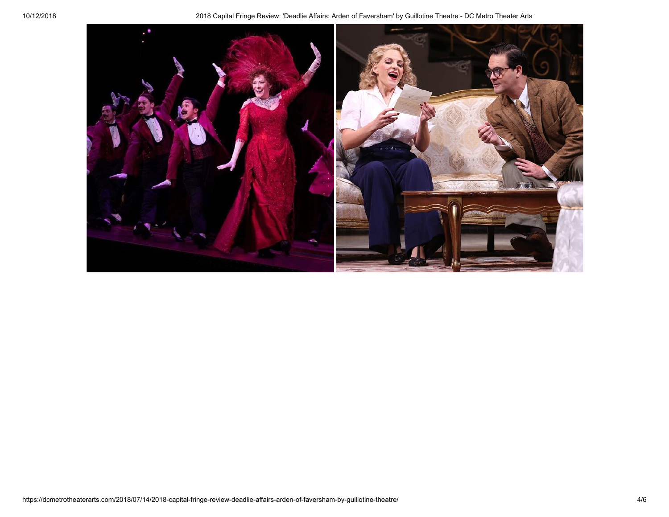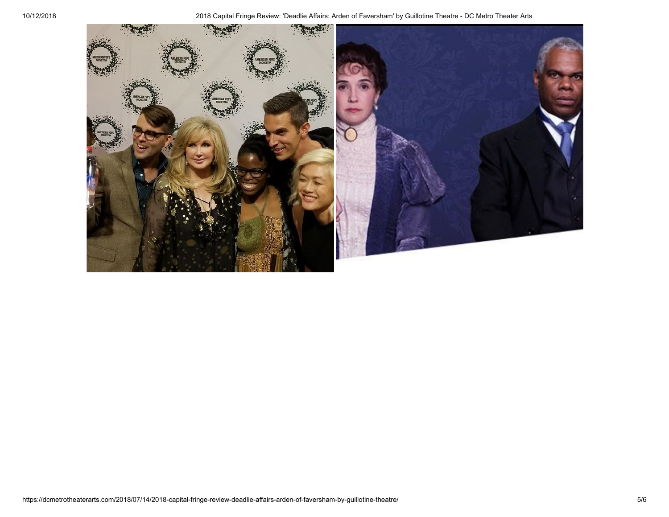10/12/2018 2018 Capital Fringe Review: 'Deadlie Affairs: Arden of Faversham' by Guillotine Theatre - DC Metro Theater Arts